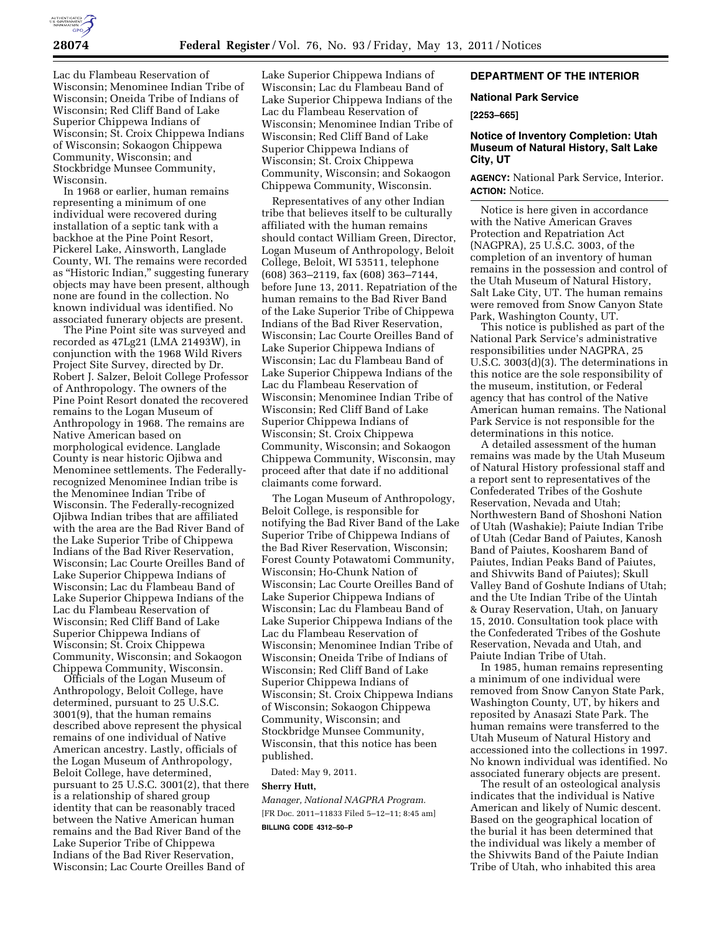

Lac du Flambeau Reservation of Wisconsin; Menominee Indian Tribe of Wisconsin; Oneida Tribe of Indians of Wisconsin; Red Cliff Band of Lake Superior Chippewa Indians of Wisconsin; St. Croix Chippewa Indians of Wisconsin; Sokaogon Chippewa Community, Wisconsin; and Stockbridge Munsee Community, Wisconsin.

In 1968 or earlier, human remains representing a minimum of one individual were recovered during installation of a septic tank with a backhoe at the Pine Point Resort, Pickerel Lake, Ainsworth, Langlade County, WI. The remains were recorded as ''Historic Indian,'' suggesting funerary objects may have been present, although none are found in the collection. No known individual was identified. No associated funerary objects are present.

The Pine Point site was surveyed and recorded as 47Lg21 (LMA 21493W), in conjunction with the 1968 Wild Rivers Project Site Survey, directed by Dr. Robert J. Salzer, Beloit College Professor of Anthropology. The owners of the Pine Point Resort donated the recovered remains to the Logan Museum of Anthropology in 1968. The remains are Native American based on morphological evidence. Langlade County is near historic Ojibwa and Menominee settlements. The Federallyrecognized Menominee Indian tribe is the Menominee Indian Tribe of Wisconsin. The Federally-recognized Ojibwa Indian tribes that are affiliated with the area are the Bad River Band of the Lake Superior Tribe of Chippewa Indians of the Bad River Reservation, Wisconsin; Lac Courte Oreilles Band of Lake Superior Chippewa Indians of Wisconsin; Lac du Flambeau Band of Lake Superior Chippewa Indians of the Lac du Flambeau Reservation of Wisconsin; Red Cliff Band of Lake Superior Chippewa Indians of Wisconsin; St. Croix Chippewa Community, Wisconsin; and Sokaogon Chippewa Community, Wisconsin.

Officials of the Logan Museum of Anthropology, Beloit College, have determined, pursuant to 25 U.S.C. 3001(9), that the human remains described above represent the physical remains of one individual of Native American ancestry. Lastly, officials of the Logan Museum of Anthropology, Beloit College, have determined, pursuant to 25 U.S.C. 3001(2), that there is a relationship of shared group identity that can be reasonably traced between the Native American human remains and the Bad River Band of the Lake Superior Tribe of Chippewa Indians of the Bad River Reservation, Wisconsin; Lac Courte Oreilles Band of

Lake Superior Chippewa Indians of Wisconsin; Lac du Flambeau Band of Lake Superior Chippewa Indians of the Lac du Flambeau Reservation of Wisconsin; Menominee Indian Tribe of Wisconsin; Red Cliff Band of Lake Superior Chippewa Indians of Wisconsin; St. Croix Chippewa Community, Wisconsin; and Sokaogon Chippewa Community, Wisconsin.

Representatives of any other Indian tribe that believes itself to be culturally affiliated with the human remains should contact William Green, Director, Logan Museum of Anthropology, Beloit College, Beloit, WI 53511, telephone (608) 363–2119, fax (608) 363–7144, before June 13, 2011. Repatriation of the human remains to the Bad River Band of the Lake Superior Tribe of Chippewa Indians of the Bad River Reservation, Wisconsin; Lac Courte Oreilles Band of Lake Superior Chippewa Indians of Wisconsin; Lac du Flambeau Band of Lake Superior Chippewa Indians of the Lac du Flambeau Reservation of Wisconsin; Menominee Indian Tribe of Wisconsin; Red Cliff Band of Lake Superior Chippewa Indians of Wisconsin; St. Croix Chippewa Community, Wisconsin; and Sokaogon Chippewa Community, Wisconsin, may proceed after that date if no additional claimants come forward.

The Logan Museum of Anthropology, Beloit College, is responsible for notifying the Bad River Band of the Lake Superior Tribe of Chippewa Indians of the Bad River Reservation, Wisconsin; Forest County Potawatomi Community, Wisconsin; Ho-Chunk Nation of Wisconsin; Lac Courte Oreilles Band of Lake Superior Chippewa Indians of Wisconsin; Lac du Flambeau Band of Lake Superior Chippewa Indians of the Lac du Flambeau Reservation of Wisconsin; Menominee Indian Tribe of Wisconsin; Oneida Tribe of Indians of Wisconsin; Red Cliff Band of Lake Superior Chippewa Indians of Wisconsin; St. Croix Chippewa Indians of Wisconsin; Sokaogon Chippewa Community, Wisconsin; and Stockbridge Munsee Community, Wisconsin, that this notice has been published.

Dated: May 9, 2011.

### **Sherry Hutt,**

*Manager, National NAGPRA Program.*  [FR Doc. 2011–11833 Filed 5–12–11; 8:45 am] **BILLING CODE 4312–50–P** 

# **DEPARTMENT OF THE INTERIOR**

### **National Park Service**

**[2253–665]** 

# **Notice of Inventory Completion: Utah Museum of Natural History, Salt Lake City, UT**

**AGENCY:** National Park Service, Interior. **ACTION:** Notice.

Notice is here given in accordance with the Native American Graves Protection and Repatriation Act (NAGPRA), 25 U.S.C. 3003, of the completion of an inventory of human remains in the possession and control of the Utah Museum of Natural History, Salt Lake City, UT. The human remains were removed from Snow Canyon State Park, Washington County, UT.

This notice is published as part of the National Park Service's administrative responsibilities under NAGPRA, 25 U.S.C. 3003(d)(3). The determinations in this notice are the sole responsibility of the museum, institution, or Federal agency that has control of the Native American human remains. The National Park Service is not responsible for the determinations in this notice.

A detailed assessment of the human remains was made by the Utah Museum of Natural History professional staff and a report sent to representatives of the Confederated Tribes of the Goshute Reservation, Nevada and Utah; Northwestern Band of Shoshoni Nation of Utah (Washakie); Paiute Indian Tribe of Utah (Cedar Band of Paiutes, Kanosh Band of Paiutes, Koosharem Band of Paiutes, Indian Peaks Band of Paiutes, and Shivwits Band of Paiutes); Skull Valley Band of Goshute Indians of Utah; and the Ute Indian Tribe of the Uintah & Ouray Reservation, Utah, on January 15, 2010. Consultation took place with the Confederated Tribes of the Goshute Reservation, Nevada and Utah, and Paiute Indian Tribe of Utah.

In 1985, human remains representing a minimum of one individual were removed from Snow Canyon State Park, Washington County, UT, by hikers and reposited by Anasazi State Park. The human remains were transferred to the Utah Museum of Natural History and accessioned into the collections in 1997. No known individual was identified. No associated funerary objects are present.

The result of an osteological analysis indicates that the individual is Native American and likely of Numic descent. Based on the geographical location of the burial it has been determined that the individual was likely a member of the Shivwits Band of the Paiute Indian Tribe of Utah, who inhabited this area